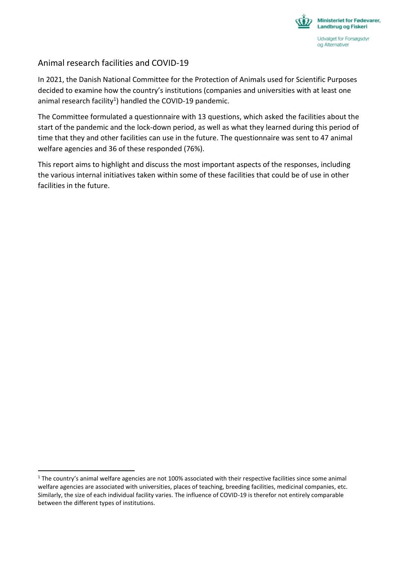

### Animal research facilities and COVID-19

 $\overline{a}$ 

In 2021, the Danish National Committee for the Protection of Animals used for Scientific Purposes decided to examine how the country's institutions (companies and universities with at least one animal research facility<sup>1</sup>) handled the COVID-19 pandemic.

The Committee formulated a questionnaire with 13 questions, which asked the facilities about the start of the pandemic and the lock-down period, as well as what they learned during this period of time that they and other facilities can use in the future. The questionnaire was sent to 47 animal welfare agencies and 36 of these responded (76%).

This report aims to highlight and discuss the most important aspects of the responses, including the various internal initiatives taken within some of these facilities that could be of use in other facilities in the future.

 $1$  The country's animal welfare agencies are not 100% associated with their respective facilities since some animal welfare agencies are associated with universities, places of teaching, breeding facilities, medicinal companies, etc. Similarly, the size of each individual facility varies. The influence of COVID-19 is therefor not entirely comparable between the different types of institutions.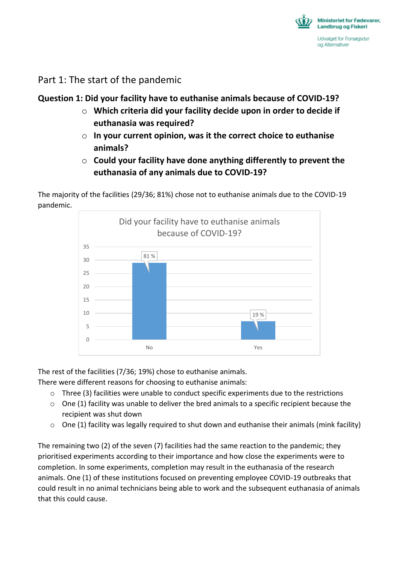

Part 1: The start of the pandemic

## **Question 1: Did your facility have to euthanise animals because of COVID-19?**

- o **Which criteria did your facility decide upon in order to decide if euthanasia was required?**
- o **In your current opinion, was it the correct choice to euthanise animals?**
- o **Could your facility have done anything differently to prevent the euthanasia of any animals due to COVID-19?**

The majority of the facilities (29/36; 81%) chose not to euthanise animals due to the COVID-19 pandemic.



The rest of the facilities (7/36; 19%) chose to euthanise animals.

There were different reasons for choosing to euthanise animals:

- $\circ$  Three (3) facilities were unable to conduct specific experiments due to the restrictions
- $\circ$  One (1) facility was unable to deliver the bred animals to a specific recipient because the recipient was shut down
- $\circ$  One (1) facility was legally required to shut down and euthanise their animals (mink facility)

The remaining two (2) of the seven (7) facilities had the same reaction to the pandemic; they prioritised experiments according to their importance and how close the experiments were to completion. In some experiments, completion may result in the euthanasia of the research animals. One (1) of these institutions focused on preventing employee COVID-19 outbreaks that could result in no animal technicians being able to work and the subsequent euthanasia of animals that this could cause.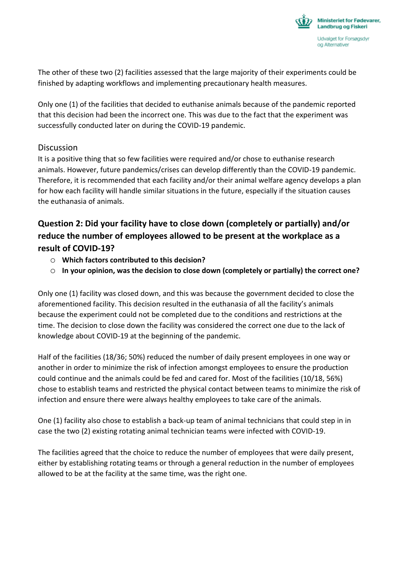

The other of these two (2) facilities assessed that the large majority of their experiments could be finished by adapting workflows and implementing precautionary health measures.

Only one (1) of the facilities that decided to euthanise animals because of the pandemic reported that this decision had been the incorrect one. This was due to the fact that the experiment was successfully conducted later on during the COVID-19 pandemic.

#### **Discussion**

It is a positive thing that so few facilities were required and/or chose to euthanise research animals. However, future pandemics/crises can develop differently than the COVID-19 pandemic. Therefore, it is recommended that each facility and/or their animal welfare agency develops a plan for how each facility will handle similar situations in the future, especially if the situation causes the euthanasia of animals.

# **Question 2: Did your facility have to close down (completely or partially) and/or reduce the number of employees allowed to be present at the workplace as a result of COVID-19?**

- o **Which factors contributed to this decision?**
- o **In your opinion, was the decision to close down (completely or partially) the correct one?**

Only one (1) facility was closed down, and this was because the government decided to close the aforementioned facility. This decision resulted in the euthanasia of all the facility's animals because the experiment could not be completed due to the conditions and restrictions at the time. The decision to close down the facility was considered the correct one due to the lack of knowledge about COVID-19 at the beginning of the pandemic.

Half of the facilities (18/36; 50%) reduced the number of daily present employees in one way or another in order to minimize the risk of infection amongst employees to ensure the production could continue and the animals could be fed and cared for. Most of the facilities (10/18, 56%) chose to establish teams and restricted the physical contact between teams to minimize the risk of infection and ensure there were always healthy employees to take care of the animals.

One (1) facility also chose to establish a back-up team of animal technicians that could step in in case the two (2) existing rotating animal technician teams were infected with COVID-19.

The facilities agreed that the choice to reduce the number of employees that were daily present, either by establishing rotating teams or through a general reduction in the number of employees allowed to be at the facility at the same time, was the right one.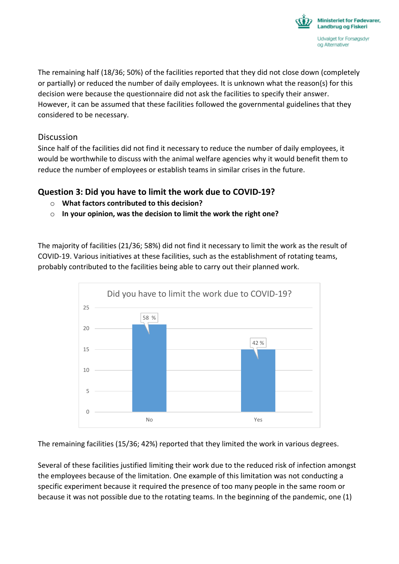

The remaining half (18/36; 50%) of the facilities reported that they did not close down (completely or partially) or reduced the number of daily employees. It is unknown what the reason(s) for this decision were because the questionnaire did not ask the facilities to specify their answer. However, it can be assumed that these facilities followed the governmental guidelines that they considered to be necessary.

#### **Discussion**

Since half of the facilities did not find it necessary to reduce the number of daily employees, it would be worthwhile to discuss with the animal welfare agencies why it would benefit them to reduce the number of employees or establish teams in similar crises in the future.

### **Question 3: Did you have to limit the work due to COVID-19?**

- o **What factors contributed to this decision?**
- o **In your opinion, was the decision to limit the work the right one?**

The majority of facilities (21/36; 58%) did not find it necessary to limit the work as the result of COVID-19. Various initiatives at these facilities, such as the establishment of rotating teams, probably contributed to the facilities being able to carry out their planned work.



The remaining facilities (15/36; 42%) reported that they limited the work in various degrees.

Several of these facilities justified limiting their work due to the reduced risk of infection amongst the employees because of the limitation. One example of this limitation was not conducting a specific experiment because it required the presence of too many people in the same room or because it was not possible due to the rotating teams. In the beginning of the pandemic, one (1)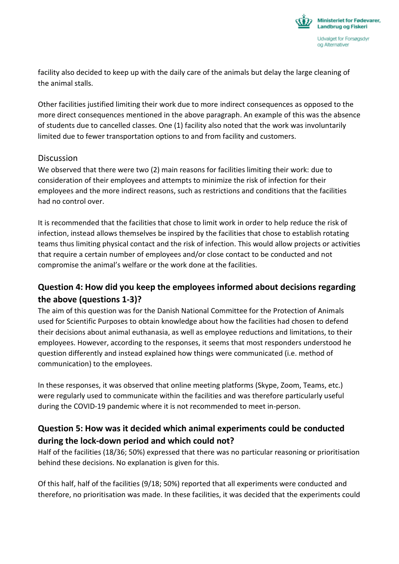

facility also decided to keep up with the daily care of the animals but delay the large cleaning of the animal stalls.

Other facilities justified limiting their work due to more indirect consequences as opposed to the more direct consequences mentioned in the above paragraph. An example of this was the absence of students due to cancelled classes. One (1) facility also noted that the work was involuntarily limited due to fewer transportation options to and from facility and customers.

#### Discussion

We observed that there were two (2) main reasons for facilities limiting their work: due to consideration of their employees and attempts to minimize the risk of infection for their employees and the more indirect reasons, such as restrictions and conditions that the facilities had no control over.

It is recommended that the facilities that chose to limit work in order to help reduce the risk of infection, instead allows themselves be inspired by the facilities that chose to establish rotating teams thus limiting physical contact and the risk of infection. This would allow projects or activities that require a certain number of employees and/or close contact to be conducted and not compromise the animal's welfare or the work done at the facilities.

### **Question 4: How did you keep the employees informed about decisions regarding the above (questions 1-3)?**

The aim of this question was for the Danish National Committee for the Protection of Animals used for Scientific Purposes to obtain knowledge about how the facilities had chosen to defend their decisions about animal euthanasia, as well as employee reductions and limitations, to their employees. However, according to the responses, it seems that most responders understood he question differently and instead explained how things were communicated (i.e. method of communication) to the employees.

In these responses, it was observed that online meeting platforms (Skype, Zoom, Teams, etc.) were regularly used to communicate within the facilities and was therefore particularly useful during the COVID-19 pandemic where it is not recommended to meet in-person.

### **Question 5: How was it decided which animal experiments could be conducted during the lock-down period and which could not?**

Half of the facilities (18/36; 50%) expressed that there was no particular reasoning or prioritisation behind these decisions. No explanation is given for this.

Of this half, half of the facilities (9/18; 50%) reported that all experiments were conducted and therefore, no prioritisation was made. In these facilities, it was decided that the experiments could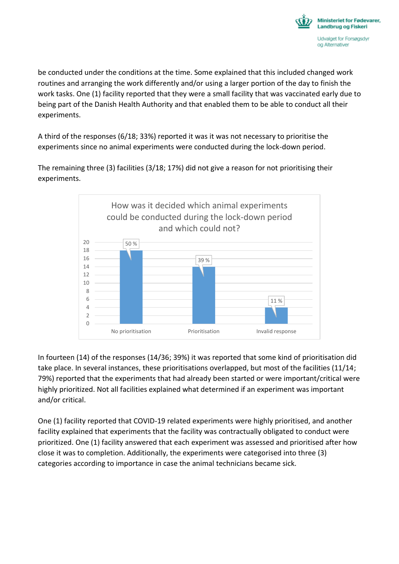

be conducted under the conditions at the time. Some explained that this included changed work routines and arranging the work differently and/or using a larger portion of the day to finish the work tasks. One (1) facility reported that they were a small facility that was vaccinated early due to being part of the Danish Health Authority and that enabled them to be able to conduct all their experiments.

A third of the responses (6/18; 33%) reported it was it was not necessary to prioritise the experiments since no animal experiments were conducted during the lock-down period.

50 % 39 % 11 %  $\Omega$ 2 4 6 8 10 12 14 16 18 20 No prioritisation **Prioritisation** Prioritisation **Invalid response** How was it decided which animal experiments could be conducted during the lock-down period and which could not?

The remaining three (3) facilities (3/18; 17%) did not give a reason for not prioritising their experiments.

In fourteen (14) of the responses (14/36; 39%) it was reported that some kind of prioritisation did take place. In several instances, these prioritisations overlapped, but most of the facilities (11/14; 79%) reported that the experiments that had already been started or were important/critical were highly prioritized. Not all facilities explained what determined if an experiment was important and/or critical.

One (1) facility reported that COVID-19 related experiments were highly prioritised, and another facility explained that experiments that the facility was contractually obligated to conduct were prioritized. One (1) facility answered that each experiment was assessed and prioritised after how close it was to completion. Additionally, the experiments were categorised into three (3) categories according to importance in case the animal technicians became sick.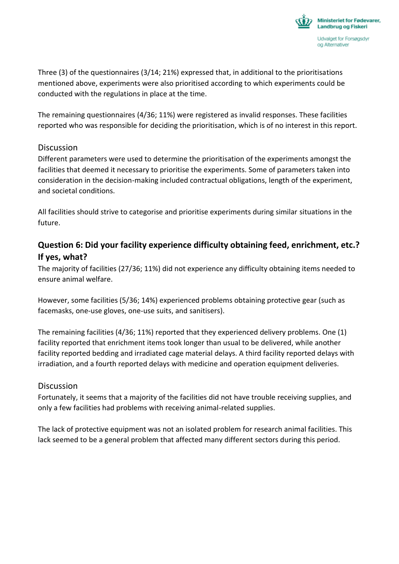

Three (3) of the questionnaires (3/14; 21%) expressed that, in additional to the prioritisations mentioned above, experiments were also prioritised according to which experiments could be conducted with the regulations in place at the time.

The remaining questionnaires (4/36; 11%) were registered as invalid responses. These facilities reported who was responsible for deciding the prioritisation, which is of no interest in this report.

#### **Discussion**

Different parameters were used to determine the prioritisation of the experiments amongst the facilities that deemed it necessary to prioritise the experiments. Some of parameters taken into consideration in the decision-making included contractual obligations, length of the experiment, and societal conditions.

All facilities should strive to categorise and prioritise experiments during similar situations in the future.

### **Question 6: Did your facility experience difficulty obtaining feed, enrichment, etc.? If yes, what?**

The majority of facilities (27/36; 11%) did not experience any difficulty obtaining items needed to ensure animal welfare.

However, some facilities (5/36; 14%) experienced problems obtaining protective gear (such as facemasks, one-use gloves, one-use suits, and sanitisers).

The remaining facilities (4/36; 11%) reported that they experienced delivery problems. One (1) facility reported that enrichment items took longer than usual to be delivered, while another facility reported bedding and irradiated cage material delays. A third facility reported delays with irradiation, and a fourth reported delays with medicine and operation equipment deliveries.

#### **Discussion**

Fortunately, it seems that a majority of the facilities did not have trouble receiving supplies, and only a few facilities had problems with receiving animal-related supplies.

The lack of protective equipment was not an isolated problem for research animal facilities. This lack seemed to be a general problem that affected many different sectors during this period.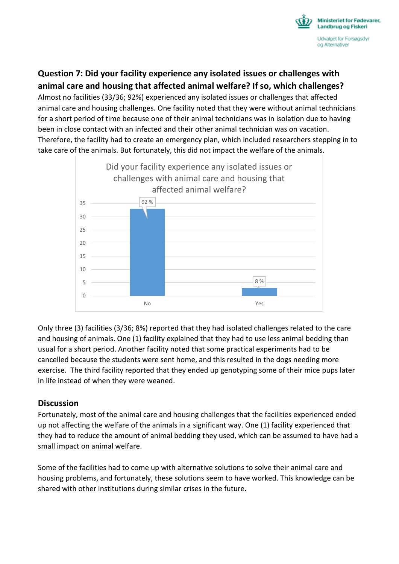

## **Question 7: Did your facility experience any isolated issues or challenges with animal care and housing that affected animal welfare? If so, which challenges?**

Almost no facilities (33/36; 92%) experienced any isolated issues or challenges that affected animal care and housing challenges. One facility noted that they were without animal technicians for a short period of time because one of their animal technicians was in isolation due to having been in close contact with an infected and their other animal technician was on vacation. Therefore, the facility had to create an emergency plan, which included researchers stepping in to take care of the animals. But fortunately, this did not impact the welfare of the animals.



Only three (3) facilities (3/36; 8%) reported that they had isolated challenges related to the care and housing of animals. One (1) facility explained that they had to use less animal bedding than usual for a short period. Another facility noted that some practical experiments had to be cancelled because the students were sent home, and this resulted in the dogs needing more exercise. The third facility reported that they ended up genotyping some of their mice pups later in life instead of when they were weaned.

#### **Discussion**

Fortunately, most of the animal care and housing challenges that the facilities experienced ended up not affecting the welfare of the animals in a significant way. One (1) facility experienced that they had to reduce the amount of animal bedding they used, which can be assumed to have had a small impact on animal welfare.

Some of the facilities had to come up with alternative solutions to solve their animal care and housing problems, and fortunately, these solutions seem to have worked. This knowledge can be shared with other institutions during similar crises in the future.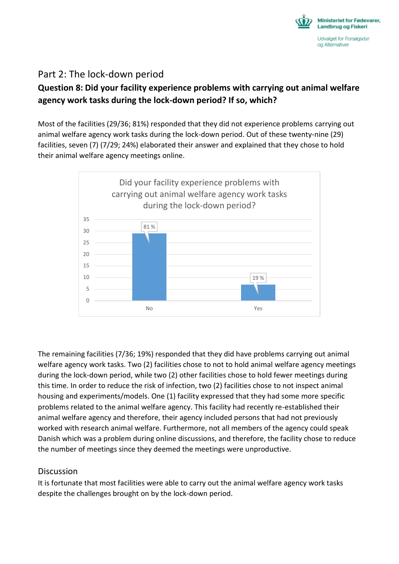

## Part 2: The lock-down period

# **Question 8: Did your facility experience problems with carrying out animal welfare agency work tasks during the lock-down period? If so, which?**

Most of the facilities (29/36; 81%) responded that they did not experience problems carrying out animal welfare agency work tasks during the lock-down period. Out of these twenty-nine (29) facilities, seven (7) (7/29; 24%) elaborated their answer and explained that they chose to hold their animal welfare agency meetings online.



The remaining facilities (7/36; 19%) responded that they did have problems carrying out animal welfare agency work tasks. Two (2) facilities chose to not to hold animal welfare agency meetings during the lock-down period, while two (2) other facilities chose to hold fewer meetings during this time. In order to reduce the risk of infection, two (2) facilities chose to not inspect animal housing and experiments/models. One (1) facility expressed that they had some more specific problems related to the animal welfare agency. This facility had recently re-established their animal welfare agency and therefore, their agency included persons that had not previously worked with research animal welfare. Furthermore, not all members of the agency could speak Danish which was a problem during online discussions, and therefore, the facility chose to reduce the number of meetings since they deemed the meetings were unproductive.

#### **Discussion**

It is fortunate that most facilities were able to carry out the animal welfare agency work tasks despite the challenges brought on by the lock-down period.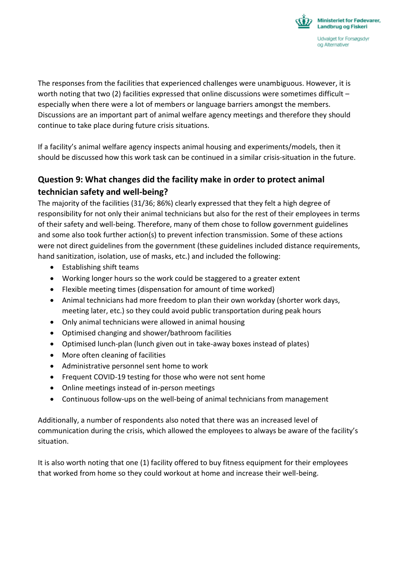

The responses from the facilities that experienced challenges were unambiguous. However, it is worth noting that two (2) facilities expressed that online discussions were sometimes difficult especially when there were a lot of members or language barriers amongst the members. Discussions are an important part of animal welfare agency meetings and therefore they should continue to take place during future crisis situations.

If a facility's animal welfare agency inspects animal housing and experiments/models, then it should be discussed how this work task can be continued in a similar crisis-situation in the future.

# **Question 9: What changes did the facility make in order to protect animal technician safety and well-being?**

The majority of the facilities (31/36; 86%) clearly expressed that they felt a high degree of responsibility for not only their animal technicians but also for the rest of their employees in terms of their safety and well-being. Therefore, many of them chose to follow government guidelines and some also took further action(s) to prevent infection transmission. Some of these actions were not direct guidelines from the government (these guidelines included distance requirements, hand sanitization, isolation, use of masks, etc.) and included the following:

- Establishing shift teams
- Working longer hours so the work could be staggered to a greater extent
- Flexible meeting times (dispensation for amount of time worked)
- Animal technicians had more freedom to plan their own workday (shorter work days, meeting later, etc.) so they could avoid public transportation during peak hours
- Only animal technicians were allowed in animal housing
- Optimised changing and shower/bathroom facilities
- Optimised lunch-plan (lunch given out in take-away boxes instead of plates)
- More often cleaning of facilities
- Administrative personnel sent home to work
- Frequent COVID-19 testing for those who were not sent home
- Online meetings instead of in-person meetings
- Continuous follow-ups on the well-being of animal technicians from management

Additionally, a number of respondents also noted that there was an increased level of communication during the crisis, which allowed the employees to always be aware of the facility's situation.

It is also worth noting that one (1) facility offered to buy fitness equipment for their employees that worked from home so they could workout at home and increase their well-being.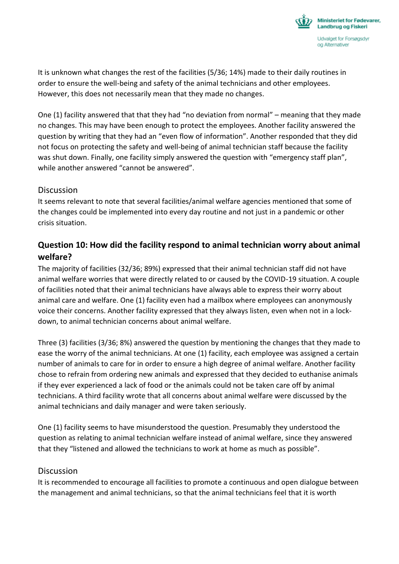

It is unknown what changes the rest of the facilities (5/36; 14%) made to their daily routines in order to ensure the well-being and safety of the animal technicians and other employees. However, this does not necessarily mean that they made no changes.

One (1) facility answered that that they had "no deviation from normal" – meaning that they made no changes. This may have been enough to protect the employees. Another facility answered the question by writing that they had an "even flow of information". Another responded that they did not focus on protecting the safety and well-being of animal technician staff because the facility was shut down. Finally, one facility simply answered the question with "emergency staff plan", while another answered "cannot be answered".

#### **Discussion**

It seems relevant to note that several facilities/animal welfare agencies mentioned that some of the changes could be implemented into every day routine and not just in a pandemic or other crisis situation.

### **Question 10: How did the facility respond to animal technician worry about animal welfare?**

The majority of facilities (32/36; 89%) expressed that their animal technician staff did not have animal welfare worries that were directly related to or caused by the COVID-19 situation. A couple of facilities noted that their animal technicians have always able to express their worry about animal care and welfare. One (1) facility even had a mailbox where employees can anonymously voice their concerns. Another facility expressed that they always listen, even when not in a lockdown, to animal technician concerns about animal welfare.

Three (3) facilities (3/36; 8%) answered the question by mentioning the changes that they made to ease the worry of the animal technicians. At one (1) facility, each employee was assigned a certain number of animals to care for in order to ensure a high degree of animal welfare. Another facility chose to refrain from ordering new animals and expressed that they decided to euthanise animals if they ever experienced a lack of food or the animals could not be taken care off by animal technicians. A third facility wrote that all concerns about animal welfare were discussed by the animal technicians and daily manager and were taken seriously.

One (1) facility seems to have misunderstood the question. Presumably they understood the question as relating to animal technician welfare instead of animal welfare, since they answered that they "listened and allowed the technicians to work at home as much as possible".

#### Discussion

It is recommended to encourage all facilities to promote a continuous and open dialogue between the management and animal technicians, so that the animal technicians feel that it is worth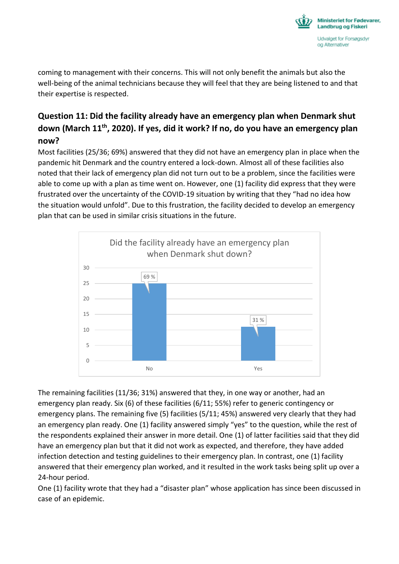

coming to management with their concerns. This will not only benefit the animals but also the well-being of the animal technicians because they will feel that they are being listened to and that their expertise is respected.

# **Question 11: Did the facility already have an emergency plan when Denmark shut down (March 11th, 2020). If yes, did it work? If no, do you have an emergency plan now?**

Most facilities (25/36; 69%) answered that they did not have an emergency plan in place when the pandemic hit Denmark and the country entered a lock-down. Almost all of these facilities also noted that their lack of emergency plan did not turn out to be a problem, since the facilities were able to come up with a plan as time went on. However, one (1) facility did express that they were frustrated over the uncertainty of the COVID-19 situation by writing that they "had no idea how the situation would unfold". Due to this frustration, the facility decided to develop an emergency plan that can be used in similar crisis situations in the future.



The remaining facilities (11/36; 31%) answered that they, in one way or another, had an emergency plan ready. Six (6) of these facilities (6/11; 55%) refer to generic contingency or emergency plans. The remaining five (5) facilities (5/11; 45%) answered very clearly that they had an emergency plan ready. One (1) facility answered simply "yes" to the question, while the rest of the respondents explained their answer in more detail. One (1) of latter facilities said that they did have an emergency plan but that it did not work as expected, and therefore, they have added infection detection and testing guidelines to their emergency plan. In contrast, one (1) facility answered that their emergency plan worked, and it resulted in the work tasks being split up over a 24-hour period.

One (1) facility wrote that they had a "disaster plan" whose application has since been discussed in case of an epidemic.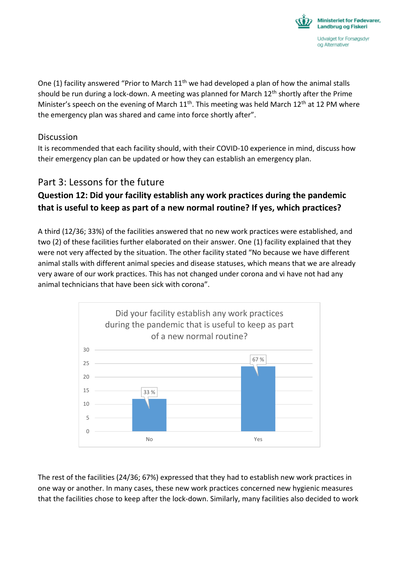

One (1) facility answered "Prior to March  $11<sup>th</sup>$  we had developed a plan of how the animal stalls should be run during a lock-down. A meeting was planned for March  $12<sup>th</sup>$  shortly after the Prime Minister's speech on the evening of March  $11<sup>th</sup>$ . This meeting was held March  $12<sup>th</sup>$  at 12 PM where the emergency plan was shared and came into force shortly after".

#### **Discussion**

It is recommended that each facility should, with their COVID-10 experience in mind, discuss how their emergency plan can be updated or how they can establish an emergency plan.

# Part 3: Lessons for the future

# **Question 12: Did your facility establish any work practices during the pandemic that is useful to keep as part of a new normal routine? If yes, which practices?**

A third (12/36; 33%) of the facilities answered that no new work practices were established, and two (2) of these facilities further elaborated on their answer. One (1) facility explained that they were not very affected by the situation. The other facility stated "No because we have different animal stalls with different animal species and disease statuses, which means that we are already very aware of our work practices. This has not changed under corona and vi have not had any animal technicians that have been sick with corona".



The rest of the facilities (24/36; 67%) expressed that they had to establish new work practices in one way or another. In many cases, these new work practices concerned new hygienic measures that the facilities chose to keep after the lock-down. Similarly, many facilities also decided to work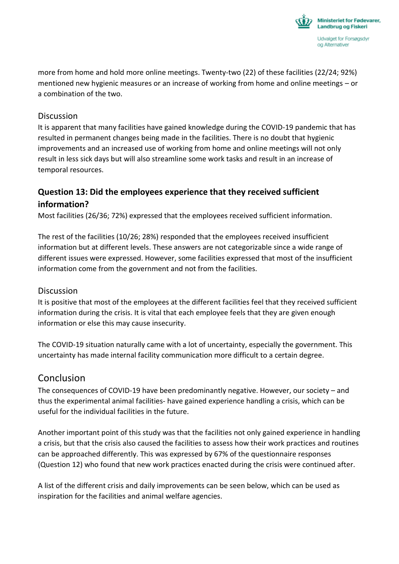

more from home and hold more online meetings. Twenty-two (22) of these facilities (22/24; 92%) mentioned new hygienic measures or an increase of working from home and online meetings – or a combination of the two.

#### Discussion

It is apparent that many facilities have gained knowledge during the COVID-19 pandemic that has resulted in permanent changes being made in the facilities. There is no doubt that hygienic improvements and an increased use of working from home and online meetings will not only result in less sick days but will also streamline some work tasks and result in an increase of temporal resources.

# **Question 13: Did the employees experience that they received sufficient information?**

Most facilities (26/36; 72%) expressed that the employees received sufficient information.

The rest of the facilities (10/26; 28%) responded that the employees received insufficient information but at different levels. These answers are not categorizable since a wide range of different issues were expressed. However, some facilities expressed that most of the insufficient information come from the government and not from the facilities.

#### **Discussion**

It is positive that most of the employees at the different facilities feel that they received sufficient information during the crisis. It is vital that each employee feels that they are given enough information or else this may cause insecurity.

The COVID-19 situation naturally came with a lot of uncertainty, especially the government. This uncertainty has made internal facility communication more difficult to a certain degree.

### Conclusion

The consequences of COVID-19 have been predominantly negative. However, our society – and thus the experimental animal facilities- have gained experience handling a crisis, which can be useful for the individual facilities in the future.

Another important point of this study was that the facilities not only gained experience in handling a crisis, but that the crisis also caused the facilities to assess how their work practices and routines can be approached differently. This was expressed by 67% of the questionnaire responses (Question 12) who found that new work practices enacted during the crisis were continued after.

A list of the different crisis and daily improvements can be seen below, which can be used as inspiration for the facilities and animal welfare agencies.